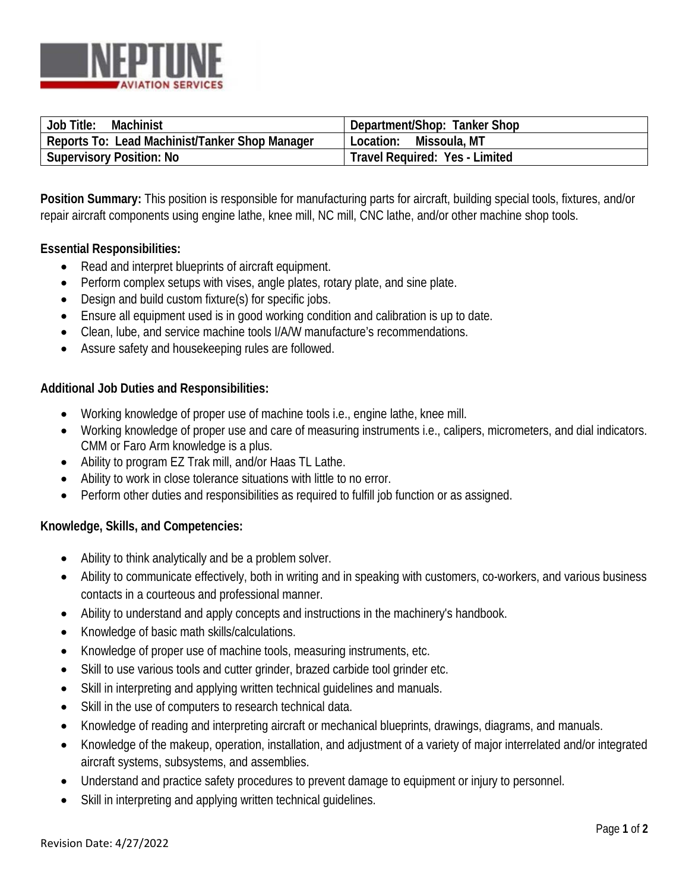

| Job Title:<br>Machinist                        | Department/Shop: Tanker Shop   |
|------------------------------------------------|--------------------------------|
| Reports To: Lead Machinist/Tanker Shop Manager | Location: Missoula, MT         |
| <b>Supervisory Position: No</b>                | Travel Required: Yes - Limited |

**Position Summary:** This position is responsible for manufacturing parts for aircraft, building special tools, fixtures, and/or repair aircraft components using engine lathe, knee mill, NC mill, CNC lathe, and/or other machine shop tools.

# **Essential Responsibilities:**

- Read and interpret blueprints of aircraft equipment.
- Perform complex setups with vises, angle plates, rotary plate, and sine plate.
- Design and build custom fixture(s) for specific jobs.
- Ensure all equipment used is in good working condition and calibration is up to date.
- Clean, lube, and service machine tools I/A/W manufacture's recommendations.
- Assure safety and housekeeping rules are followed.

### **Additional Job Duties and Responsibilities:**

- Working knowledge of proper use of machine tools i.e., engine lathe, knee mill.
- Working knowledge of proper use and care of measuring instruments i.e., calipers, micrometers, and dial indicators. CMM or Faro Arm knowledge is a plus.
- Ability to program EZ Trak mill, and/or Haas TL Lathe.
- Ability to work in close tolerance situations with little to no error.
- Perform other duties and responsibilities as required to fulfill job function or as assigned.

### **Knowledge, Skills, and Competencies:**

- Ability to think analytically and be a problem solver.
- Ability to communicate effectively, both in writing and in speaking with customers, co-workers, and various business contacts in a courteous and professional manner.
- Ability to understand and apply concepts and instructions in the machinery's handbook.
- Knowledge of basic math skills/calculations.
- Knowledge of proper use of machine tools, measuring instruments, etc.
- Skill to use various tools and cutter grinder, brazed carbide tool grinder etc.
- Skill in interpreting and applying written technical quidelines and manuals.
- Skill in the use of computers to research technical data.
- Knowledge of reading and interpreting aircraft or mechanical blueprints, drawings, diagrams, and manuals.
- Knowledge of the makeup, operation, installation, and adjustment of a variety of major interrelated and/or integrated aircraft systems, subsystems, and assemblies.
- Understand and practice safety procedures to prevent damage to equipment or injury to personnel.
- Skill in interpreting and applying written technical guidelines.